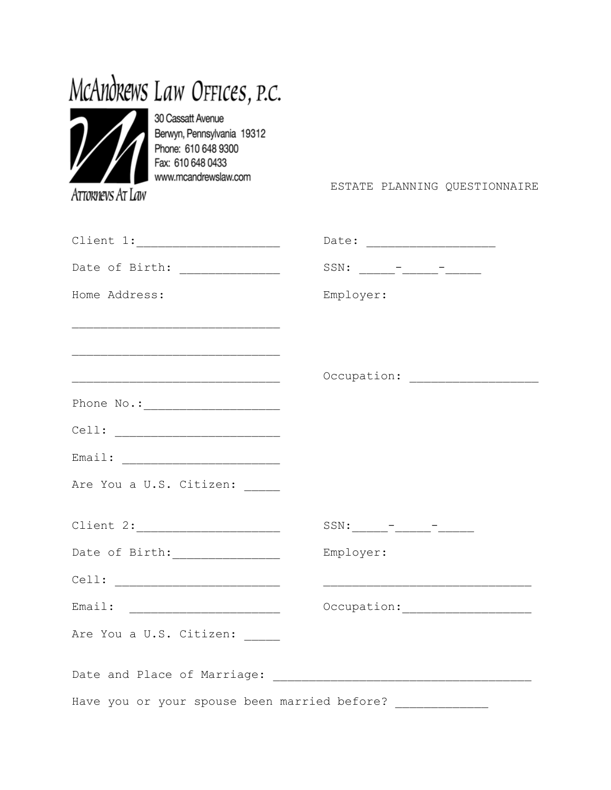# McAndrews Law OFFICES, P.C.



30 Cassatt Avenue Berwyn, Pennsylvania 19312 Phone: 610 648 9300 Fax: 610 648 0433 www.mcandrewslaw.com

ATTORNEVS AT LAW

ESTATE PLANNING QUESTIONNAIRE

| Date of Birth: ______________                               |                                                                   |
|-------------------------------------------------------------|-------------------------------------------------------------------|
| Home Address:                                               | Employer:                                                         |
|                                                             |                                                                   |
|                                                             |                                                                   |
|                                                             |                                                                   |
|                                                             |                                                                   |
|                                                             |                                                                   |
|                                                             |                                                                   |
| Are You a U.S. Citizen: _____                               |                                                                   |
|                                                             |                                                                   |
|                                                             | Employer:                                                         |
|                                                             |                                                                   |
|                                                             |                                                                   |
| Are You a U.S. Citizen: _____                               |                                                                   |
|                                                             | Date and Place of Marriage: [19] [19] Date and Place of Marriage: |
| Have you or your spouse been married before? ______________ |                                                                   |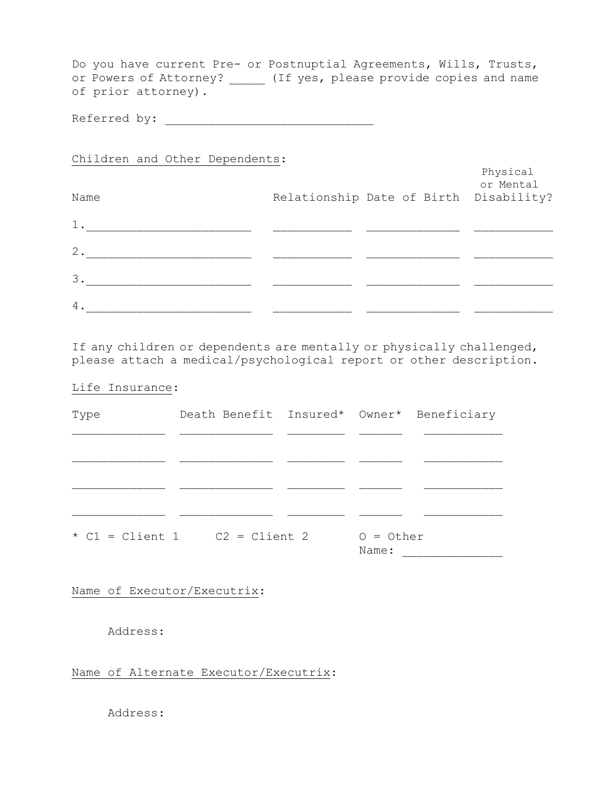Do you have current Pre- or Postnuptial Agreements, Wills, Trusts, or Powers of Attorney? \_\_\_\_\_ (If yes, please provide copies and name of prior attorney).

Referred by: \_\_\_\_\_\_\_\_\_\_\_\_\_\_\_\_\_\_\_\_\_\_\_\_\_\_\_\_\_

Children and Other Dependents:

| Name  | Relationship Date of Birth Disability? | Physical<br>or Mental |
|-------|----------------------------------------|-----------------------|
| $1$ . |                                        |                       |
| 2.    |                                        |                       |
| 3.    |                                        |                       |
| 4.    |                                        |                       |

If any children or dependents are mentally or physically challenged, please attach a medical/psychological report or other description.

### Life Insurance:

| Type | Death Benefit Insured* Owner* Beneficiary |                      |  |
|------|-------------------------------------------|----------------------|--|
|      |                                           |                      |  |
|      |                                           |                      |  |
|      |                                           |                      |  |
|      |                                           |                      |  |
|      | $\star$ C1 = Client 1 $C2$ = Client 2     | $O = Other$<br>Name: |  |

Name of Executor/Executrix:

Address:

Name of Alternate Executor/Executrix:

Address: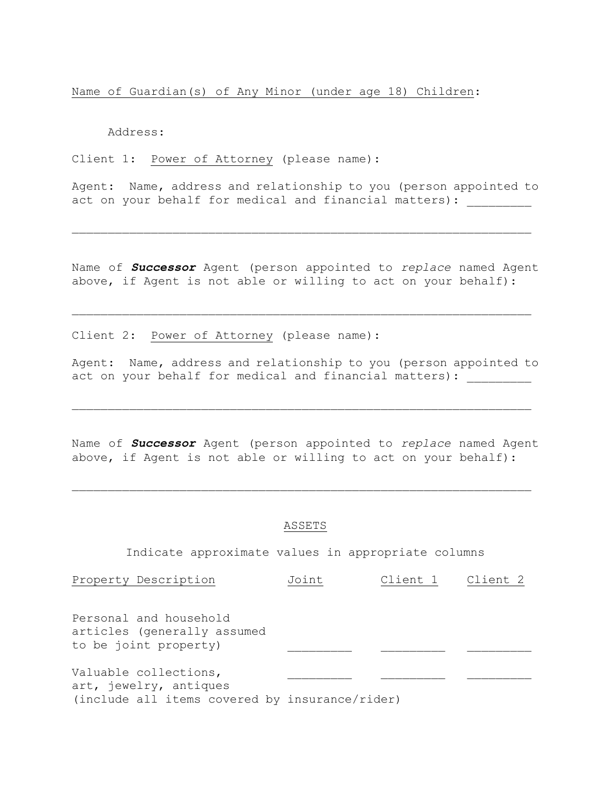Name of Guardian(s) of Any Minor (under age 18) Children:

Address:

Client 1: Power of Attorney (please name):

Agent: Name, address and relationship to you (person appointed to act on your behalf for medical and financial matters):

Name of *Successor* Agent (person appointed to *replace* named Agent above, if Agent is not able or willing to act on your behalf):

Client 2: Power of Attorney (please name):

Agent: Name, address and relationship to you (person appointed to act on your behalf for medical and financial matters):

Name of *Successor* Agent (person appointed to *replace* named Agent above, if Agent is not able or willing to act on your behalf):

#### ASSETS

Indicate approximate values in appropriate columns

| Property Description                                                                              | Joint | Client 1 | Client 2 |
|---------------------------------------------------------------------------------------------------|-------|----------|----------|
| Personal and household<br>articles (generally assumed<br>to be joint property)                    |       |          |          |
| Valuable collections,<br>art, jewelry, antiques<br>(include all items covered by insurance/rider) |       |          |          |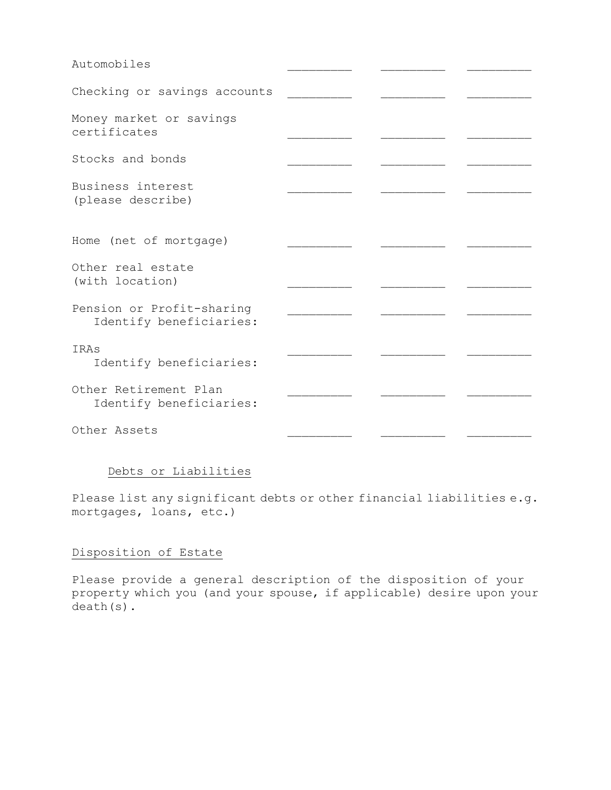| Automobiles                                          |  |  |
|------------------------------------------------------|--|--|
| Checking or savings accounts                         |  |  |
| Money market or savings<br>certificates              |  |  |
| Stocks and bonds                                     |  |  |
| Business interest<br>(please describe)               |  |  |
| Home (net of mortgage)                               |  |  |
| Other real estate<br>(with location)                 |  |  |
| Pension or Profit-sharing<br>Identify beneficiaries: |  |  |
| IRAs<br>Identify beneficiaries:                      |  |  |
| Other Retirement Plan<br>Identify beneficiaries:     |  |  |
| Other Assets                                         |  |  |

## Debts or Liabilities

Please list any significant debts or other financial liabilities e.g. mortgages, loans, etc.)

## Disposition of Estate

Please provide a general description of the disposition of your property which you (and your spouse, if applicable) desire upon your death(s).